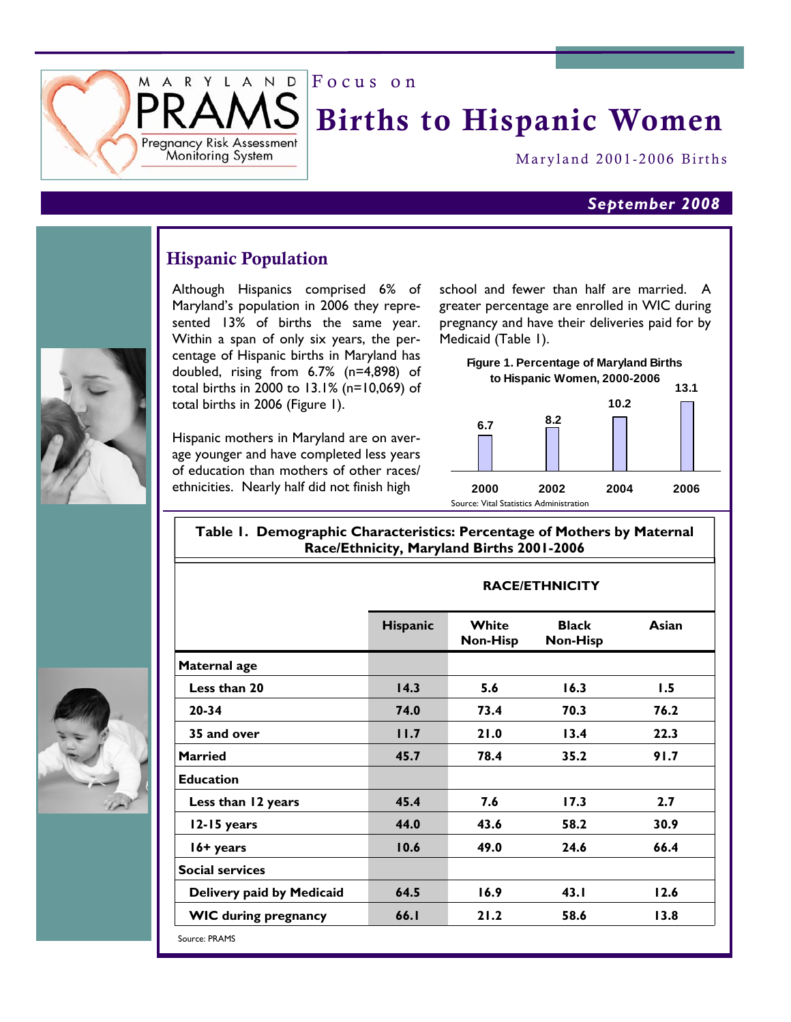Focus on

# Births to Hispanic Women

Maryland 2001-2006 Births

#### *September 2008*

### Hispanic Population

R Y L A N D

Pregnancy Risk Assessment Moniforing System

M  $\mathsf{A}$ 

> Although Hispanics comprised 6% of Maryland's population in 2006 they represented 13% of births the same year. Within a span of only six years, the percentage of Hispanic births in Maryland has doubled, rising from 6.7% (n=4,898) of total births in 2000 to 13.1% (n=10,069) of total births in 2006 (Figure 1).

> Hispanic mothers in Maryland are on average younger and have completed less years of education than mothers of other races/ ethnicities. Nearly half did not finish high

school and fewer than half are married. A greater percentage are enrolled in WIC during pregnancy and have their deliveries paid for by Medicaid (Table 1).

**Figure 1. Percentage of Maryland Births to Hispanic Women, 2000-2006**



**RACE/ETHNICITY** 

#### **Table 1. Demographic Characteristics: Percentage of Mothers by Maternal Race/Ethnicity, Maryland Births 2001-2006**

| <b>Hispanic</b> | White<br><b>Non-Hisp</b> | <b>Black</b><br><b>Non-Hisp</b> | Asian |  |  |  |
|-----------------|--------------------------|---------------------------------|-------|--|--|--|
|                 |                          |                                 |       |  |  |  |
| 14.3            | 5.6                      | 16.3                            | 1.5   |  |  |  |
| 74.0            | 73.4                     | 70.3                            | 76.2  |  |  |  |
| 11.7            | 21.0                     | 13.4                            | 22.3  |  |  |  |
| 45.7            | 78.4                     | 35.2                            | 91.7  |  |  |  |
|                 |                          |                                 |       |  |  |  |
| 45.4            | 7.6                      | 17.3                            | 2.7   |  |  |  |
| 44.0            | 43.6                     | 58.2                            | 30.9  |  |  |  |
| 10.6            | 49.0                     | 24.6                            | 66.4  |  |  |  |
|                 |                          |                                 |       |  |  |  |
| 64.5            | 16.9                     | 43.1                            | 12.6  |  |  |  |
| 66.I            | 21.2                     | 58.6                            | 13.8  |  |  |  |
|                 |                          |                                 |       |  |  |  |





Source: PRAMS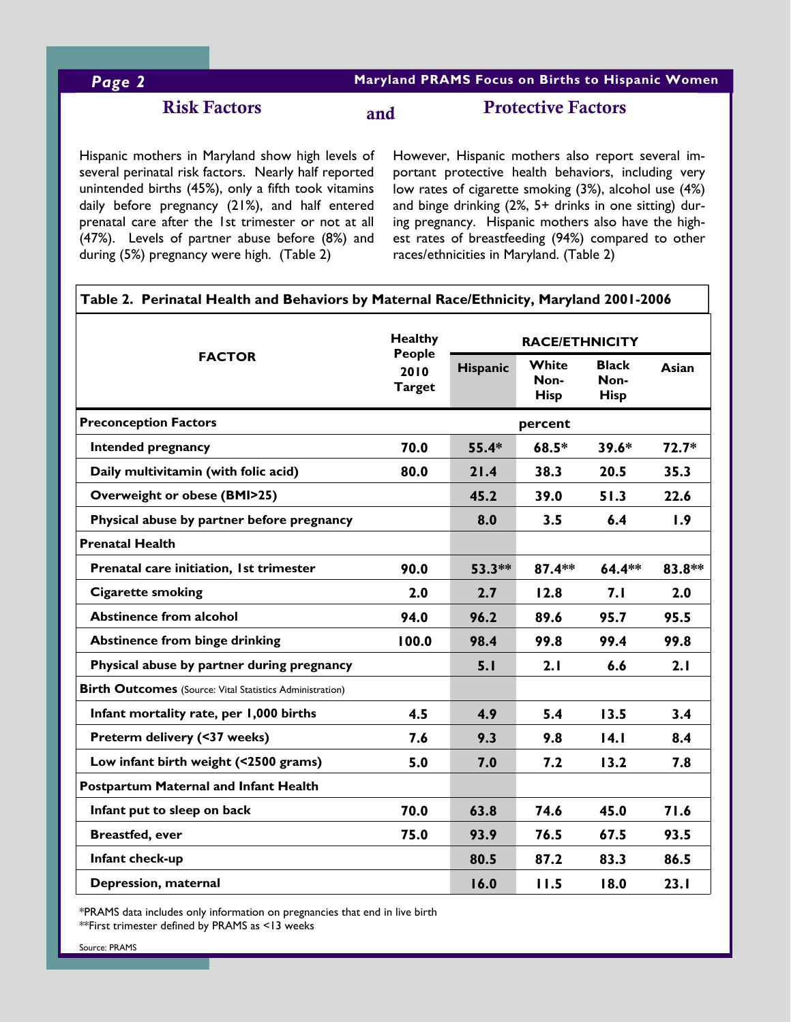### *Page 2* **Maryland PRAMS Focus on Births to Hispanic Women**

### Risk Factors

## Protective Factors and

Hispanic mothers in Maryland show high levels of several perinatal risk factors. Nearly half reported unintended births (45%), only a fifth took vitamins daily before pregnancy (21%), and half entered prenatal care after the 1st trimester or not at all (47%). Levels of partner abuse before (8%) and during (5%) pregnancy were high. (Table 2)

However, Hispanic mothers also report several important protective health behaviors, including very low rates of cigarette smoking (3%), alcohol use (4%) and binge drinking (2%, 5+ drinks in one sitting) during pregnancy. Hispanic mothers also have the highest rates of breastfeeding (94%) compared to other races/ethnicities in Maryland. (Table 2)

| <b>FACTOR</b>                                                   |                          |                       |                     |                     |         |  |
|-----------------------------------------------------------------|--------------------------|-----------------------|---------------------|---------------------|---------|--|
|                                                                 | <b>Healthy</b><br>People | <b>RACE/ETHNICITY</b> |                     |                     |         |  |
|                                                                 | 2010                     | Hispanic              | White               | <b>Black</b>        | Asian   |  |
|                                                                 | <b>Target</b>            |                       | Non-<br><b>Hisp</b> | Non-<br><b>Hisp</b> |         |  |
|                                                                 |                          |                       |                     |                     |         |  |
| <b>Preconception Factors</b>                                    |                          |                       | percent             |                     |         |  |
| Intended pregnancy                                              | 70.0                     | $55.4*$               | $68.5*$             | $39.6*$             | $72.7*$ |  |
| Daily multivitamin (with folic acid)                            | 80.0                     | 21.4                  | 38.3                | 20.5                | 35.3    |  |
| <b>Overweight or obese (BMI&gt;25)</b>                          |                          | 45.2                  | 39.0                | 51.3                | 22.6    |  |
| Physical abuse by partner before pregnancy                      |                          | 8.0                   | 3.5                 | 6.4                 | 1.9     |  |
| <b>Prenatal Health</b>                                          |                          |                       |                     |                     |         |  |
| Prenatal care initiation, 1st trimester                         | 90.0                     | $53.3**$              | $87.4**$            | $64.4***$           | 83.8**  |  |
| <b>Cigarette smoking</b>                                        | 2.0                      | 2.7                   | 12.8                | 7.1                 | 2.0     |  |
| <b>Abstinence from alcohol</b>                                  | 94.0                     | 96.2                  | 89.6                | 95.7                | 95.5    |  |
| <b>Abstinence from binge drinking</b>                           | 100.0                    | 98.4                  | 99.8                | 99.4                | 99.8    |  |
| Physical abuse by partner during pregnancy                      |                          | 5.1                   | 2.1                 | 6.6                 | 2.1     |  |
| <b>Birth Outcomes</b> (Source: Vital Statistics Administration) |                          |                       |                     |                     |         |  |
| Infant mortality rate, per 1,000 births                         | 4.5                      | 4.9                   | 5.4                 | 13.5                | 3.4     |  |
| Preterm delivery (<37 weeks)                                    | 7.6                      | 9.3                   | 9.8                 | 14.1                | 8.4     |  |
| Low infant birth weight (<2500 grams)                           | 5.0                      | 7.0                   | 7.2                 | 13.2                | 7.8     |  |
| <b>Postpartum Maternal and Infant Health</b>                    |                          |                       |                     |                     |         |  |
| Infant put to sleep on back                                     | 70.0                     | 63.8                  | 74.6                | 45.0                | 71.6    |  |
| <b>Breastfed, ever</b>                                          | 75.0                     | 93.9                  | 76.5                | 67.5                | 93.5    |  |
| Infant check-up                                                 |                          | 80.5                  | 87.2                | 83.3                | 86.5    |  |
| Depression, maternal                                            |                          | 16.0                  | 11.5                | 18.0                | 23.1    |  |

\*PRAMS data includes only information on pregnancies that end in live birth \*\*First trimester defined by PRAMS as <13 weeks

Source: PRAMS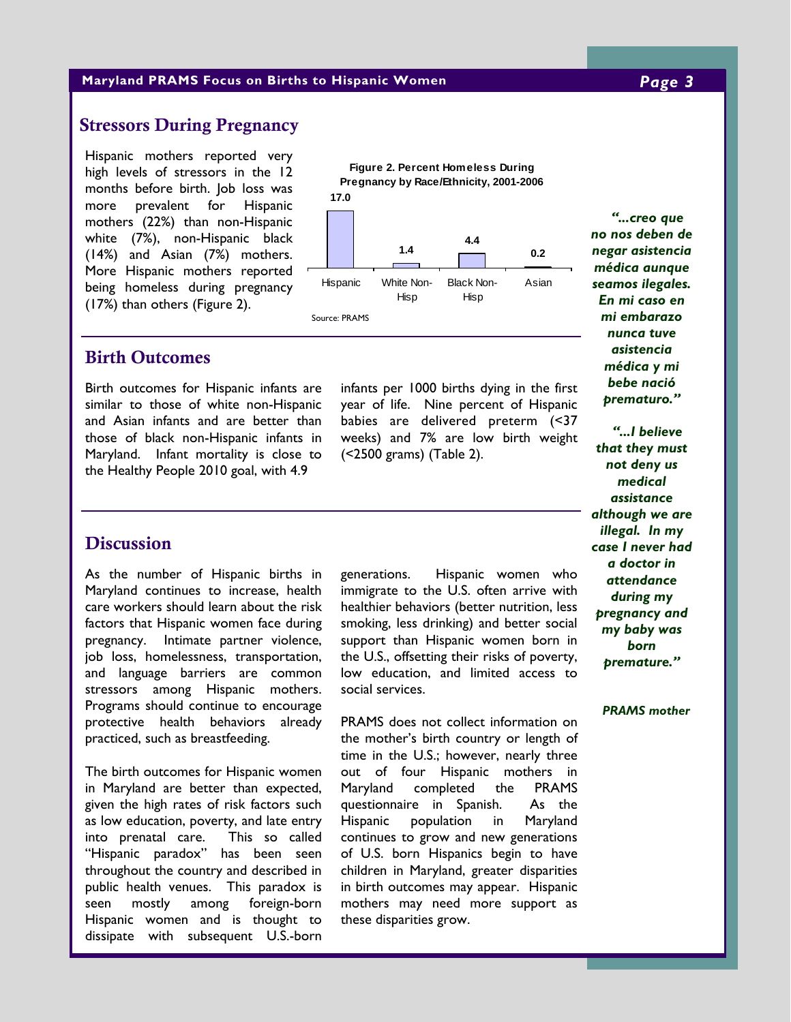#### **Maryland PRAMS Focus on Births to Hispanic Women** *Page 3*

### Stressors During Pregnancy

Hispanic mothers reported very high levels of stressors in the 12 months before birth. Job loss was more prevalent for Hispanic mothers (22%) than non-Hispanic white (7%), non-Hispanic black (14%) and Asian (7%) mothers. More Hispanic mothers reported being homeless during pregnancy (17%) than others (Figure 2).





#### Birth Outcomes

Birth outcomes for Hispanic infants are similar to those of white non-Hispanic and Asian infants and are better than those of black non-Hispanic infants in Maryland. Infant mortality is close to the Healthy People 2010 goal, with 4.9

infants per 1000 births dying in the first year of life. Nine percent of Hispanic babies are delivered preterm (<37 weeks) and 7% are low birth weight (<2500 grams) (Table 2).

*no nos deben de negar asistencia médica aunque seamos ilegales. En mi caso en mi embarazo nunca tuve asistencia médica y mi bebe nació prematuro."* 

*"...creo que* 

*"...I believe that they must not deny us medical assistance although we are illegal. In my case I never had a doctor in attendance during my pregnancy and my baby was born premature."* 

*PRAMS mother*

#### **Discussion**

As the number of Hispanic births in Maryland continues to increase, health care workers should learn about the risk factors that Hispanic women face during pregnancy. Intimate partner violence, job loss, homelessness, transportation, and language barriers are common stressors among Hispanic mothers. Programs should continue to encourage protective health behaviors already practiced, such as breastfeeding.

The birth outcomes for Hispanic women in Maryland are better than expected, given the high rates of risk factors such as low education, poverty, and late entry into prenatal care. This so called "Hispanic paradox" has been seen throughout the country and described in public health venues. This paradox is seen mostly among foreign-born Hispanic women and is thought to dissipate with subsequent U.S.-born

generations. Hispanic women who immigrate to the U.S. often arrive with healthier behaviors (better nutrition, less smoking, less drinking) and better social support than Hispanic women born in the U.S., offsetting their risks of poverty, low education, and limited access to social services.

PRAMS does not collect information on the mother's birth country or length of time in the U.S.; however, nearly three out of four Hispanic mothers in Maryland completed the PRAMS questionnaire in Spanish. As the Hispanic population in Maryland continues to grow and new generations of U.S. born Hispanics begin to have children in Maryland, greater disparities in birth outcomes may appear. Hispanic mothers may need more support as these disparities grow.